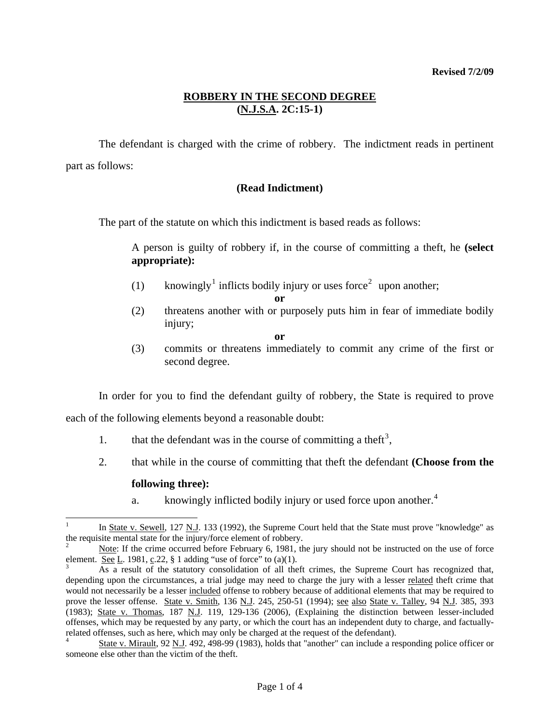## **ROBBERY IN THE SECOND DEGREE (N.J.S.A. 2C:15-1)**

 The defendant is charged with the crime of robbery. The indictment reads in pertinent part as follows:

### **(Read Indictment)**

The part of the statute on which this indictment is based reads as follows:

A person is guilty of robbery if, in the course of committing a theft, he **(select appropriate):**

- ([1](#page-0-0)) knowingly<sup>1</sup> inflicts bodily injury or uses force<sup>[2](#page-0-1)</sup> upon another;
	- **or**
- (2) threatens another with or purposely puts him in fear of immediate bodily injury;
	- **or**
- (3) commits or threatens immediately to commit any crime of the first or second degree.

In order for you to find the defendant guilty of robbery, the State is required to prove

each of the following elements beyond a reasonable doubt:

- 1. that the defendant was in the course of committing a theft<sup>[3](#page-0-2)</sup>,
- 2. that while in the course of committing that theft the defendant **(Choose from the**

### **following three):**

a. knowingly inflicted bodily injury or used force upon another.<sup>[4](#page-0-3)</sup>

<span id="page-0-0"></span> $\frac{1}{1}$ In State v. Sewell, 127 N.J. 133 (1992), the Supreme Court held that the State must prove "knowledge" as the requisite mental state for the injury/force element of robbery.

<span id="page-0-1"></span><sup>2</sup> Note: If the crime occurred before February 6, 1981, the jury should not be instructed on the use of force element. <u>See L</u>. 1981, c.22, § 1 adding "use of force" to (a)(1).

<span id="page-0-4"></span><span id="page-0-2"></span>As a result of the statutory consolidation of all theft crimes, the Supreme Court has recognized that, depending upon the circumstances, a trial judge may need to charge the jury with a lesser related theft crime that would not necessarily be a lesser included offense to robbery because of additional elements that may be required to prove the lesser offense. State v. Smith, 136 N.J. 245, 250-51 (1994); see also State v. Talley, 94 N.J. 385, 393 (1983); State v. Thomas, 187 N.J. 119, 129-136 (2006), (Explaining the distinction between lesser-included offenses, which may be requested by any party, or which the court has an independent duty to charge, and factuallyrelated offenses, such as here, which may only be charged at the request of the defendant).

<span id="page-0-3"></span><sup>4</sup> State v. Mirault, 92 N.J. 492, 498-99 (1983), holds that "another" can include a responding police officer or someone else other than the victim of the theft.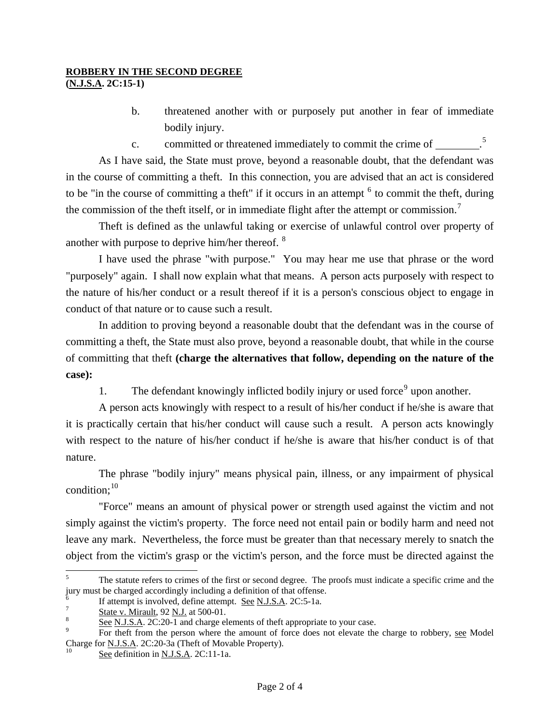## **ROBBERY IN THE SECOND DEGREE**

**(N.J.S.A. 2C:15-1)** 

- b. threatened another with or purposely put another in fear of immediate bodily injury.
- c. committed or threatened immediately to commit the crime of \_\_\_\_\_\_\_\_\_.<sup>[5](#page-0-4)</sup>

 As I have said, the State must prove, beyond a reasonable doubt, that the defendant was in the course of committing a theft. In this connection, you are advised that an act is considered to be "in the course of committing a theft" if it occurs in an attempt  $<sup>6</sup>$  $<sup>6</sup>$  $<sup>6</sup>$  to commit the theft, during</sup> the commission of the theft itself, or in immediate flight after the attempt or commission.<sup>[7](#page-1-1)</sup>

 Theft is defined as the unlawful taking or exercise of unlawful control over property of another with purpose to deprive him/her thereof. [8](#page-1-2)

 I have used the phrase "with purpose." You may hear me use that phrase or the word "purposely" again. I shall now explain what that means. A person acts purposely with respect to the nature of his/her conduct or a result thereof if it is a person's conscious object to engage in conduct of that nature or to cause such a result.

 In addition to proving beyond a reasonable doubt that the defendant was in the course of committing a theft, the State must also prove, beyond a reasonable doubt, that while in the course of committing that theft **(charge the alternatives that follow, depending on the nature of the case):**

1. The defendant knowingly inflicted bodily injury or used force<sup>[9](#page-1-3)</sup> upon another.

 A person acts knowingly with respect to a result of his/her conduct if he/she is aware that it is practically certain that his/her conduct will cause such a result. A person acts knowingly with respect to the nature of his/her conduct if he/she is aware that his/her conduct is of that nature.

 The phrase "bodily injury" means physical pain, illness, or any impairment of physical condition: $10$ 

 "Force" means an amount of physical power or strength used against the victim and not simply against the victim's property. The force need not entail pain or bodily harm and need not leave any mark. Nevertheless, the force must be greater than that necessary merely to snatch the object from the victim's grasp or the victim's person, and the force must be directed against the

l

<sup>5</sup> The statute refers to crimes of the first or second degree. The proofs must indicate a specific crime and the jury must be charged accordingly including a definition of that offense.

<span id="page-1-0"></span><sup>6</sup> If attempt is involved, define attempt. See N.J.S.A. 2C:5-1a.

<span id="page-1-1"></span> $\frac{5 \text{tate v. Mirault}}{8}$ ,  $\frac{500-01}{8}$ 

<span id="page-1-2"></span>See N.J.S.A. 2C:20-1 and charge elements of theft appropriate to your case.

<span id="page-1-3"></span>For theft from the person where the amount of force does not elevate the charge to robbery, see Model Charge for <u>N.J.S.A</u>. 2C:20-3a (Theft of Movable Property).<br><sup>10</sup> See definition in <u>N.J.S.A</u>. 2C:11-1a.

<span id="page-1-4"></span>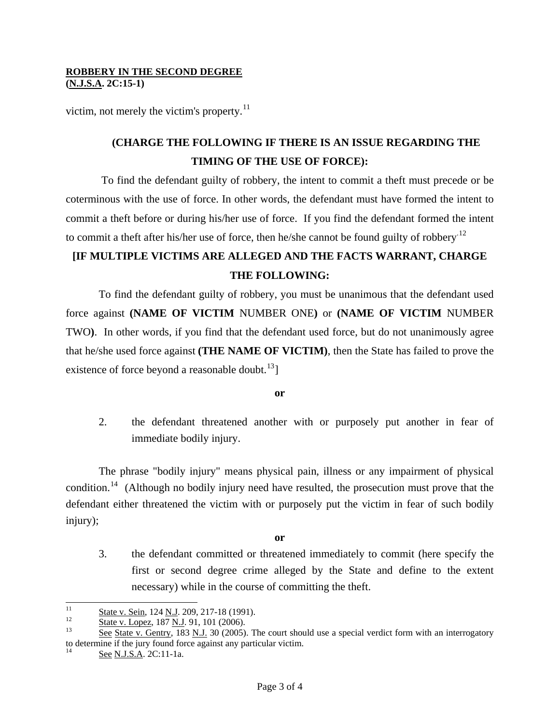#### **ROBBERY IN THE SECOND DEGREE (N.J.S.A. 2C:15-1)**

victim, not merely the victim's property. $^{11}$  $^{11}$  $^{11}$ 

# **(CHARGE THE FOLLOWING IF THERE IS AN ISSUE REGARDING THE TIMING OF THE USE OF FORCE):**

 To find the defendant guilty of robbery, the intent to commit a theft must precede or be coterminous with the use of force. In other words, the defendant must have formed the intent to commit a theft before or during his/her use of force. If you find the defendant formed the intent to commit a theft after his/her use of force, then he/she cannot be found guilty of robbery.<sup>12</sup>

## **[IF MULTIPLE VICTIMS ARE ALLEGED AND THE FACTS WARRANT, CHARGE THE FOLLOWING:**

To find the defendant guilty of robbery, you must be unanimous that the defendant used force against **(NAME OF VICTIM** NUMBER ONE**)** or **(NAME OF VICTIM** NUMBER TWO**)**. In other words, if you find that the defendant used force, but do not unanimously agree that he/she used force against **(THE NAME OF VICTIM)**, then the State has failed to prove the existence of force beyond a reasonable doubt. $^{13}$  $^{13}$  $^{13}$ ]

**or** 

2. the defendant threatened another with or purposely put another in fear of immediate bodily injury.

The phrase "bodily injury" means physical pain, illness or any impairment of physical condition.<sup>[14](#page-2-2)</sup> (Although no bodily injury need have resulted, the prosecution must prove that the defendant either threatened the victim with or purposely put the victim in fear of such bodily injury);

**or** 

3. the defendant committed or threatened immediately to commit (here specify the first or second degree crime alleged by the State and define to the extent necessary) while in the course of committing the theft.

 $11\,$ 

<span id="page-2-1"></span>

<span id="page-2-3"></span><span id="page-2-0"></span> $\frac{\text{State v. Sein}}{\text{State v. Lopez}}$ , 187 <u>N.J</u>. 91, 101 (2006).<br>
<sup>12</sup> State v. Lopez, 187 <u>N.J</u>. 91, 101 (2006).<br>
See State v. Gentry, 183 N.J. 30 (2005). The court should use a special verdict form with an interrogatory to determine if the jury found force against any particular victim.

<span id="page-2-2"></span>See N.J.S.A. 2C:11-1a.